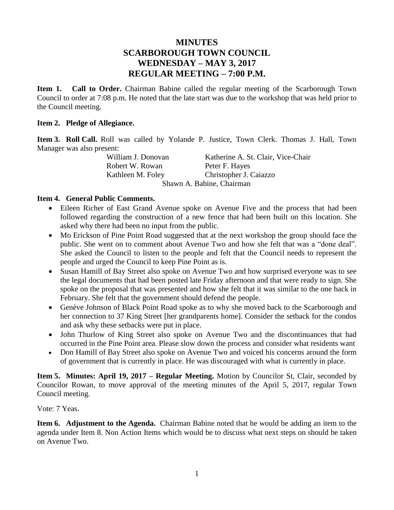# **MINUTES SCARBOROUGH TOWN COUNCIL WEDNESDAY – MAY 3, 2017 REGULAR MEETING – 7:00 P.M.**

**Item 1. Call to Order.** Chairman Babine called the regular meeting of the Scarborough Town Council to order at 7:08 p.m. He noted that the late start was due to the workshop that was held prior to the Council meeting.

### **Item 2. Pledge of Allegiance.**

**Item 3. Roll Call.** Roll was called by Yolande P. Justice, Town Clerk. Thomas J. Hall, Town Manager was also present:

Robert W. Rowan Peter F. Hayes

William J. Donovan Katherine A. St. Clair, Vice-Chair Kathleen M. Foley Christopher J. Caiazzo Shawn A. Babine, Chairman

#### **Item 4. General Public Comments.**

- Eileen Richer of East Grand Avenue spoke on Avenue Five and the process that had been followed regarding the construction of a new fence that had been built on this location. She asked why there had been no input from the public.
- Mo Erickson of Pine Point Road suggested that at the next workshop the group should face the public. She went on to comment about Avenue Two and how she felt that was a "done deal". She asked the Council to listen to the people and felt that the Council needs to represent the people and urged the Council to keep Pine Point as is.
- Susan Hamill of Bay Street also spoke on Avenue Two and how surprised everyone was to see the legal documents that had been posted late Friday afternoon and that were ready to sign. She spoke on the proposal that was presented and how she felt that it was similar to the one back in February. She felt that the government should defend the people.
- Genève Johnson of Black Point Road spoke as to why she moved back to the Scarborough and her connection to 37 King Street [her grandparents home]. Consider the setback for the condos and ask why these setbacks were put in place.
- John Thurlow of King Street also spoke on Avenue Two and the discontinuances that had occurred in the Pine Point area. Please slow down the process and consider what residents want
- Don Hamill of Bay Street also spoke on Avenue Two and voiced his concerns around the form of government that is currently in place. He was discouraged with what is currently in place.

**Item 5. Minutes: April 19, 2017 – Regular Meeting.** Motion by Councilor St, Clair, seconded by Councilor Rowan, to move approval of the meeting minutes of the April 5, 2017, regular Town Council meeting.

Vote: 7 Yeas.

**Item 6. Adjustment to the Agenda.** Chairman Babine noted that he would be adding an item to the agenda under Item 8. Non Action Items which would be to discuss what next steps on should be taken on Avenue Two.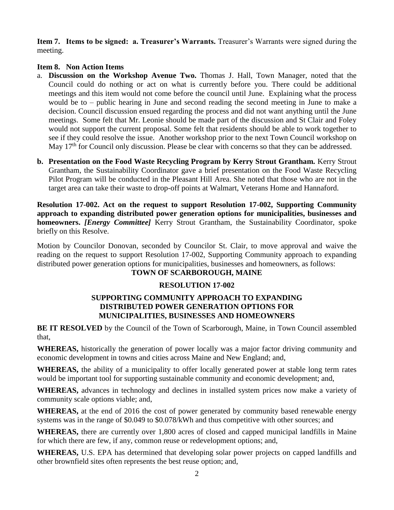**Item 7. Items to be signed: a. Treasurer's Warrants.** Treasurer's Warrants were signed during the meeting.

# **Item 8. Non Action Items**

- a. **Discussion on the Workshop Avenue Two.** Thomas J. Hall, Town Manager, noted that the Council could do nothing or act on what is currently before you. There could be additional meetings and this item would not come before the council until June. Explaining what the process would be to – public hearing in June and second reading the second meeting in June to make a decision. Council discussion ensued regarding the process and did not want anything until the June meetings. Some felt that Mr. Leonie should be made part of the discussion and St Clair and Foley would not support the current proposal. Some felt that residents should be able to work together to see if they could resolve the issue. Another workshop prior to the next Town Council workshop on May 17<sup>th</sup> for Council only discussion. Please be clear with concerns so that they can be addressed.
- **b. Presentation on the Food Waste Recycling Program by Kerry Strout Grantham.** Kerry Strout Grantham, the Sustainability Coordinator gave a brief presentation on the Food Waste Recycling Pilot Program will be conducted in the Pleasant Hill Area. She noted that those who are not in the target area can take their waste to drop-off points at Walmart, Veterans Home and Hannaford.

**Resolution 17-002. Act on the request to support Resolution 17-002, Supporting Community approach to expanding distributed power generation options for municipalities, businesses and homeowners.** *[Energy Committee]* Kerry Strout Grantham, the Sustainability Coordinator, spoke briefly on this Resolve.

Motion by Councilor Donovan, seconded by Councilor St. Clair, to move approval and waive the reading on the request to support Resolution 17-002, Supporting Community approach to expanding distributed power generation options for municipalities, businesses and homeowners, as follows:

# **TOWN OF SCARBOROUGH, MAINE**

# **RESOLUTION 17-002**

# **SUPPORTING COMMUNITY APPROACH TO EXPANDING DISTRIBUTED POWER GENERATION OPTIONS FOR MUNICIPALITIES, BUSINESSES AND HOMEOWNERS**

**BE IT RESOLVED** by the Council of the Town of Scarborough, Maine, in Town Council assembled that,

**WHEREAS,** historically the generation of power locally was a major factor driving community and economic development in towns and cities across Maine and New England; and,

**WHEREAS,** the ability of a municipality to offer locally generated power at stable long term rates would be important tool for supporting sustainable community and economic development; and,

**WHEREAS,** advances in technology and declines in installed system prices now make a variety of community scale options viable; and,

**WHEREAS,** at the end of 2016 the cost of power generated by community based renewable energy systems was in the range of \$0.049 to \$0.078/kWh and thus competitive with other sources; and

**WHEREAS,** there are currently over 1,800 acres of closed and capped municipal landfills in Maine for which there are few, if any, common reuse or redevelopment options; and,

**WHEREAS,** U.S. EPA has determined that developing solar power projects on capped landfills and other brownfield sites often represents the best reuse option; and,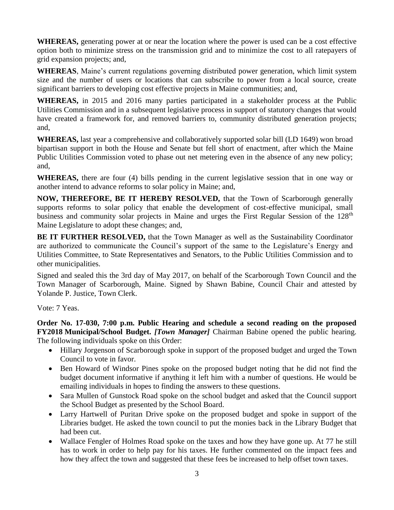**WHEREAS,** generating power at or near the location where the power is used can be a cost effective option both to minimize stress on the transmission grid and to minimize the cost to all ratepayers of grid expansion projects; and,

**WHEREAS**, Maine's current regulations governing distributed power generation, which limit system size and the number of users or locations that can subscribe to power from a local source, create significant barriers to developing cost effective projects in Maine communities; and,

**WHEREAS,** in 2015 and 2016 many parties participated in a stakeholder process at the Public Utilities Commission and in a subsequent legislative process in support of statutory changes that would have created a framework for, and removed barriers to, community distributed generation projects; and,

**WHEREAS,** last year a comprehensive and collaboratively supported solar bill (LD 1649) won broad bipartisan support in both the House and Senate but fell short of enactment, after which the Maine Public Utilities Commission voted to phase out net metering even in the absence of any new policy; and,

**WHEREAS,** there are four (4) bills pending in the current legislative session that in one way or another intend to advance reforms to solar policy in Maine; and,

**NOW, THEREFORE, BE IT HEREBY RESOLVED,** that the Town of Scarborough generally supports reforms to solar policy that enable the development of cost-effective municipal, small business and community solar projects in Maine and urges the First Regular Session of the 128<sup>th</sup> Maine Legislature to adopt these changes; and,

**BE IT FURTHER RESOLVED,** that the Town Manager as well as the Sustainability Coordinator are authorized to communicate the Council's support of the same to the Legislature's Energy and Utilities Committee, to State Representatives and Senators, to the Public Utilities Commission and to other municipalities.

Signed and sealed this the 3rd day of May 2017, on behalf of the Scarborough Town Council and the Town Manager of Scarborough, Maine. Signed by Shawn Babine, Council Chair and attested by Yolande P. Justice, Town Clerk.

Vote: 7 Yeas.

**Order No. 17-030, 7:00 p.m. Public Hearing and schedule a second reading on the proposed FY2018 Municipal/School Budget.** *[Town Manager]* Chairman Babine opened the public hearing. The following individuals spoke on this Order:

- Hillary Jorgenson of Scarborough spoke in support of the proposed budget and urged the Town Council to vote in favor.
- Ben Howard of Windsor Pines spoke on the proposed budget noting that he did not find the budget document informative if anything it left him with a number of questions. He would be emailing individuals in hopes to finding the answers to these questions.
- Sara Mullen of Gunstock Road spoke on the school budget and asked that the Council support the School Budget as presented by the School Board.
- Larry Hartwell of Puritan Drive spoke on the proposed budget and spoke in support of the Libraries budget. He asked the town council to put the monies back in the Library Budget that had been cut.
- Wallace Fengler of Holmes Road spoke on the taxes and how they have gone up. At 77 he still has to work in order to help pay for his taxes. He further commented on the impact fees and how they affect the town and suggested that these fees be increased to help offset town taxes.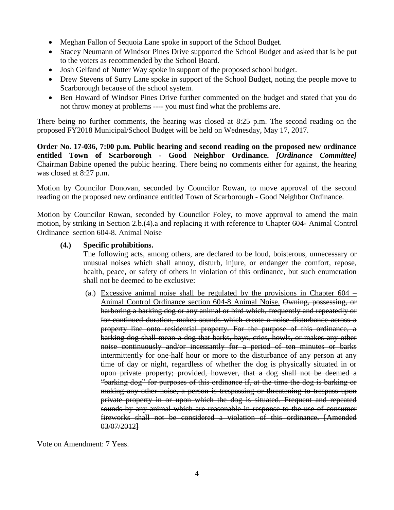- Meghan Fallon of Sequoia Lane spoke in support of the School Budget.
- Stacey Neumann of Windsor Pines Drive supported the School Budget and asked that is be put to the voters as recommended by the School Board.
- Josh Gelfand of Nutter Way spoke in support of the proposed school budget.
- Drew Stevens of Surry Lane spoke in support of the School Budget, noting the people move to Scarborough because of the school system.
- Ben Howard of Windsor Pines Drive further commented on the budget and stated that you do not throw money at problems ---- you must find what the problems are.

There being no further comments, the hearing was closed at 8:25 p.m. The second reading on the proposed FY2018 Municipal/School Budget will be held on Wednesday, May 17, 2017.

**Order No. 17-036, 7:00 p.m. Public hearing and second reading on the proposed new ordinance entitled Town of Scarborough - Good Neighbor Ordinance.** *[Ordinance Committee]* Chairman Babine opened the public hearing. There being no comments either for against, the hearing was closed at 8:27 p.m.

Motion by Councilor Donovan, seconded by Councilor Rowan, to move approval of the second reading on the proposed new ordinance entitled Town of Scarborough - Good Neighbor Ordinance.

Motion by Councilor Rowan, seconded by Councilor Foley, to move approval to amend the main motion, by striking in Section 2.b.(4).a and replacing it with reference to Chapter 604- Animal Control Ordinance section 604-8. Animal Noise

## **(4.) Specific prohibitions.**

The following acts, among others, are declared to be loud, boisterous, unnecessary or unusual noises which shall annoy, disturb, injure, or endanger the comfort, repose, health, peace, or safety of others in violation of this ordinance, but such enumeration shall not be deemed to be exclusive:

 $(a)$  Excessive animal noise shall be regulated by the provisions in Chapter 604 – Animal Control Ordinance section 604-8 Animal Noise. Owning, possessing, or harboring a barking dog or any animal or bird which, frequently and repeatedly or for continued duration, makes sounds which create a noise disturbance across a property line onto residential property. For the purpose of this ordinance, a barking dog shall mean a dog that barks, bays, cries, howls, or makes any other noise continuously and/or incessantly for a period of ten minutes or barks intermittently for one-half hour or more to the disturbance of any person at any time of day or night, regardless of whether the dog is physically situated in or upon private property; provided, however, that a dog shall not be deemed a "barking dog" for purposes of this ordinance if, at the time the dog is barking or making any other noise, a person is trespassing or threatening to trespass upon private property in or upon which the dog is situated. Frequent and repeated sounds by any animal which are reasonable in response to the use of consumer fireworks shall not be considered a violation of this ordinance. [Amended 03/07/2012]

Vote on Amendment: 7 Yeas.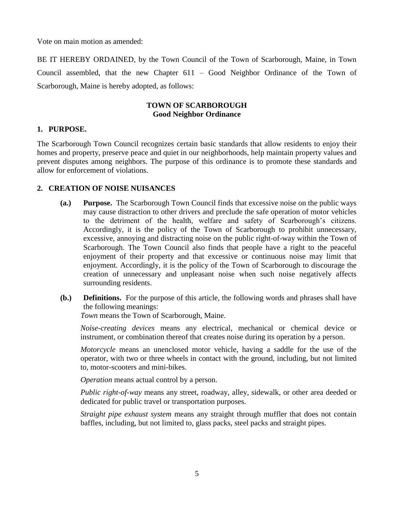Vote on main motion as amended:

BE IT HEREBY ORDAINED, by the Town Council of the Town of Scarborough, Maine, in Town Council assembled, that the new Chapter 611 – Good Neighbor Ordinance of the Town of Scarborough, Maine is hereby adopted, as follows:

# **TOWN OF SCARBOROUGH Good Neighbor Ordinance**

## **1. PURPOSE.**

The Scarborough Town Council recognizes certain basic standards that allow residents to enjoy their homes and property, preserve peace and quiet in our neighborhoods, help maintain property values and prevent disputes among neighbors. The purpose of this ordinance is to promote these standards and allow for enforcement of violations.

## **2. CREATION OF NOISE NUISANCES**

- **(a.) Purpose.** The Scarborough Town Council finds that excessive noise on the public ways may cause distraction to other drivers and preclude the safe operation of motor vehicles to the detriment of the health, welfare and safety of Scarborough's citizens. Accordingly, it is the policy of the Town of Scarborough to prohibit unnecessary, excessive, annoying and distracting noise on the public right-of-way within the Town of Scarborough. The Town Council also finds that people have a right to the peaceful enjoyment of their property and that excessive or continuous noise may limit that enjoyment. Accordingly, it is the policy of the Town of Scarborough to discourage the creation of unnecessary and unpleasant noise when such noise negatively affects surrounding residents.
- **(b.) Definitions.** For the purpose of this article, the following words and phrases shall have the following meanings:

*Town* means the Town of Scarborough, Maine.

*Noise-creating devices* means any electrical, mechanical or chemical device or instrument, or combination thereof that creates noise during its operation by a person.

*Motorcycle* means an unenclosed motor vehicle, having a saddle for the use of the operator, with two or three wheels in contact with the ground, including, but not limited to, motor-scooters and mini-bikes.

*Operation* means actual control by a person.

*Public right-of-way* means any street, roadway, alley, sidewalk, or other area deeded or dedicated for public travel or transportation purposes.

*Straight pipe exhaust system* means any straight through muffler that does not contain baffles, including, but not limited to, glass packs, steel packs and straight pipes.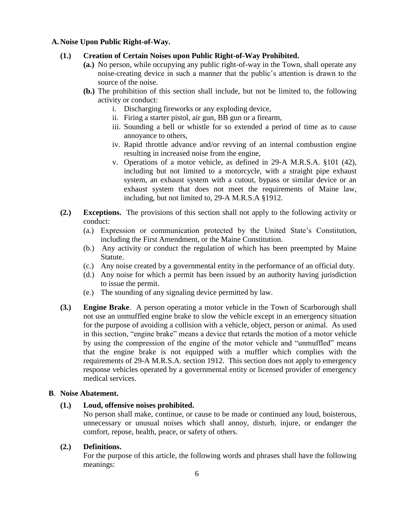## **A. Noise Upon Public Right-of-Way.**

# **(1.) Creation of Certain Noises upon Public Right-of-Way Prohibited.**

- **(a.)** No person, while occupying any public right-of-way in the Town, shall operate any noise-creating device in such a manner that the public's attention is drawn to the source of the noise.
- **(b.)** The prohibition of this section shall include, but not be limited to, the following activity or conduct:
	- i. Discharging fireworks or any exploding device,
	- ii. Firing a starter pistol, air gun, BB gun or a firearm,
	- iii. Sounding a bell or whistle for so extended a period of time as to cause annoyance to others,
	- iv. Rapid throttle advance and/or revving of an internal combustion engine resulting in increased noise from the engine,
	- v. Operations of a motor vehicle, as defined in 29-A M.R.S.A. §101 (42), including but not limited to a motorcycle, with a straight pipe exhaust system, an exhaust system with a cutout, bypass or similar device or an exhaust system that does not meet the requirements of Maine law, including, but not limited to, 29-A M.R.S.A §1912.
- **(2.) Exceptions.** The provisions of this section shall not apply to the following activity or conduct:
	- (a.) Expression or communication protected by the United State's Constitution, including the First Amendment, or the Maine Constitution.
	- (b.) Any activity or conduct the regulation of which has been preempted by Maine Statute.
	- (c.) Any noise created by a governmental entity in the performance of an official duty.
	- (d.) Any noise for which a permit has been issued by an authority having jurisdiction to issue the permit.
	- (e.) The sounding of any signaling device permitted by law.
- **(3.) Engine Brake**. A person operating a motor vehicle in the Town of Scarborough shall not use an unmuffled engine brake to slow the vehicle except in an emergency situation for the purpose of avoiding a collision with a vehicle, object, person or animal. As used in this section, "engine brake" means a device that retards the motion of a motor vehicle by using the compression of the engine of the motor vehicle and "unmuffled" means that the engine brake is not equipped with a muffler which complies with the requirements of 29-A M.R.S.A. section 1912. This section does not apply to emergency response vehicles operated by a governmental entity or licensed provider of emergency medical services.

### **B**. **Noise Abatement.**

### **(1.) Loud, offensive noises prohibited.**

No person shall make, continue, or cause to be made or continued any loud, boisterous, unnecessary or unusual noises which shall annoy, disturb, injure, or endanger the comfort, repose, health, peace, or safety of others.

### **(2.) Definitions.**

For the purpose of this article, the following words and phrases shall have the following meanings: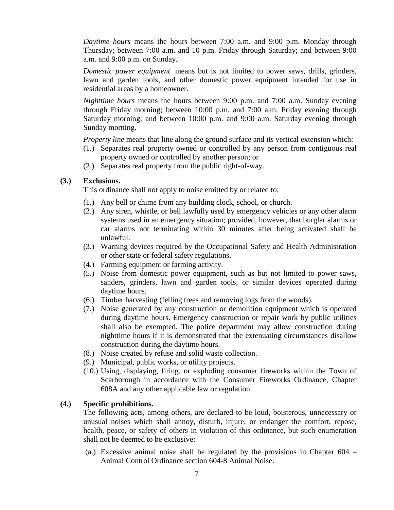*Daytime hours* means the hours between 7:00 a.m. and 9:00 p.m. Monday through Thursday; between 7:00 a.m. and 10 p.m. Friday through Saturday; and between 9:00 a.m. and 9:00 p.m. on Sunday.

*Domestic power equipment* means but is not limited to power saws, drills, grinders, lawn and garden tools, and other domestic power equipment intended for use in residential areas by a homeowner.

*Nighttime hours* means the hours between 9:00 p.m. and 7:00 a.m. Sunday evening through Friday morning; between 10:00 p.m. and 7:00 a.m. Friday evening through Saturday morning; and between 10:00 p.m. and 9:00 a.m. Saturday evening through Sunday morning.

*Property line* means that line along the ground surface and its vertical extension which:

- (1.) Separates real property owned or controlled by any person from contiguous real property owned or controlled by another person; or
- (2.) Separates real property from the public right-of-way.

### **(3.) Exclusions.**

This ordinance shall not apply to noise emitted by or related to:

- (1.) Any bell or chime from any building clock, school, or church.
- (2.) Any siren, whistle, or bell lawfully used by emergency vehicles or any other alarm systems used in an emergency situation; provided, however, that burglar alarms or car alarms not terminating within 30 minutes after being activated shall be unlawful.
- (3.) Warning devices required by the Occupational Safety and Health Administration or other state or federal safety regulations.
- (4.) Farming equipment or farming activity.
- (5.) Noise from domestic power equipment, such as but not limited to power saws, sanders, grinders, lawn and garden tools, or similar devices operated during daytime hours.
- (6.) Timber harvesting (felling trees and removing logs from the woods).
- (7.) Noise generated by any construction or demolition equipment which is operated during daytime hours. Emergency construction or repair work by public utilities shall also be exempted. The police department may allow construction during nighttime hours if it is demonstrated that the extenuating circumstances disallow construction during the daytime hours.
- (8.) Noise created by refuse and solid waste collection.
- (9.) Municipal, public works, or utility projects.
- (10.) Using, displaying, firing, or exploding consumer fireworks within the Town of Scarborough in accordance with the Consumer Fireworks Ordinance, Chapter 608A and any other applicable law or regulation.

### **(4.) Specific prohibitions.**

The following acts, among others, are declared to be loud, boisterous, unnecessary or unusual noises which shall annoy, disturb, injure, or endanger the comfort, repose, health, peace, or safety of others in violation of this ordinance, but such enumeration shall not be deemed to be exclusive:

(a.) Excessive animal noise shall be regulated by the provisions in Chapter 604 – Animal Control Ordinance section 604-8 Animal Noise.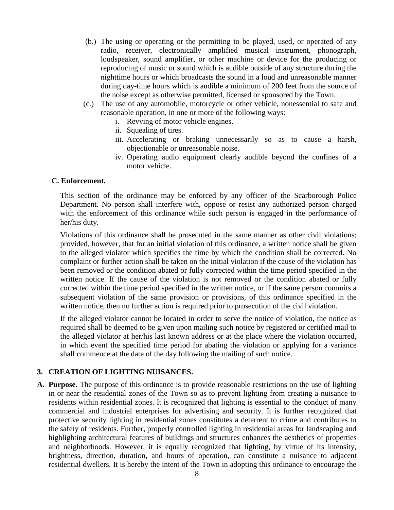- (b.) The using or operating or the permitting to be played, used, or operated of any radio, receiver, electronically amplified musical instrument, phonograph, loudspeaker, sound amplifier, or other machine or device for the producing or reproducing of music or sound which is audible outside of any structure during the nighttime hours or which broadcasts the sound in a loud and unreasonable manner during day-time hours which is audible a minimum of 200 feet from the source of the noise except as otherwise permitted, licensed or sponsored by the Town.
- (c.) The use of any automobile, motorcycle or other vehicle, nonessential to safe and reasonable operation, in one or more of the following ways:
	- i. Revving of motor vehicle engines.
	- ii. Squealing of tires.
	- iii. Accelerating or braking unnecessarily so as to cause a harsh, objectionable or unreasonable noise.
	- iv. Operating audio equipment clearly audible beyond the confines of a motor vehicle.

## **C. Enforcement.**

This section of the ordinance may be enforced by any officer of the Scarborough Police Department. No person shall interfere with, oppose or resist any authorized person charged with the enforcement of this ordinance while such person is engaged in the performance of her/his duty.

Violations of this ordinance shall be prosecuted in the same manner as other civil violations; provided, however, that for an initial violation of this ordinance, a written notice shall be given to the alleged violator which specifies the time by which the condition shall be corrected. No complaint or further action shall be taken on the initial violation if the cause of the violation has been removed or the condition abated or fully corrected within the time period specified in the written notice. If the cause of the violation is not removed or the condition abated or fully corrected within the time period specified in the written notice, or if the same person commits a subsequent violation of the same provision or provisions, of this ordinance specified in the written notice, then no further action is required prior to prosecution of the civil violation.

If the alleged violator cannot be located in order to serve the notice of violation, the notice as required shall be deemed to be given upon mailing such notice by registered or certified mail to the alleged violator at her/his last known address or at the place where the violation occurred, in which event the specified time period for abating the violation or applying for a variance shall commence at the date of the day following the mailing of such notice.

### **3. CREATION OF LIGHTING NUISANCES.**

**A. Purpose.** The purpose of this ordinance is to provide reasonable restrictions on the use of lighting in or near the residential zones of the Town so as to prevent lighting from creating a nuisance to residents within residential zones. It is recognized that lighting is essential to the conduct of many commercial and industrial enterprises for advertising and security. It is further recognized that protective security lighting in residential zones constitutes a deterrent to crime and contributes to the safety of residents. Further, properly controlled lighting in residential areas for landscaping and highlighting architectural features of buildings and structures enhances the aesthetics of properties and neighborhoods. However, it is equally recognized that lighting, by virtue of its intensity, brightness, direction, duration, and hours of operation, can constitute a nuisance to adjacent residential dwellers. It is hereby the intent of the Town in adopting this ordinance to encourage the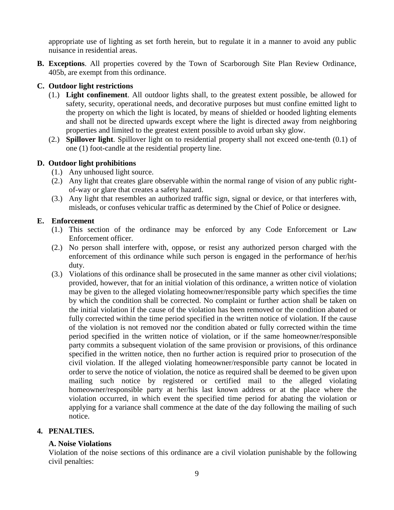appropriate use of lighting as set forth herein, but to regulate it in a manner to avoid any public nuisance in residential areas.

**B. Exceptions**. All properties covered by the Town of Scarborough Site Plan Review Ordinance, 405b, are exempt from this ordinance.

# **C. Outdoor light restrictions**

- (1.) **Light confinement**. All outdoor lights shall, to the greatest extent possible, be allowed for safety, security, operational needs, and decorative purposes but must confine emitted light to the property on which the light is located, by means of shielded or hooded lighting elements and shall not be directed upwards except where the light is directed away from neighboring properties and limited to the greatest extent possible to avoid urban sky glow.
- (2.) **Spillover light**. Spillover light on to residential property shall not exceed one-tenth (0.1) of one (1) foot-candle at the residential property line.

# **D. Outdoor light prohibitions**

- (1.) Any unhoused light source.
- (2.) Any light that creates glare observable within the normal range of vision of any public rightof-way or glare that creates a safety hazard.
- (3.) Any light that resembles an authorized traffic sign, signal or device, or that interferes with, misleads, or confuses vehicular traffic as determined by the Chief of Police or designee.

# **E. Enforcement**

- (1.) This section of the ordinance may be enforced by any Code Enforcement or Law Enforcement officer.
- (2.) No person shall interfere with, oppose, or resist any authorized person charged with the enforcement of this ordinance while such person is engaged in the performance of her/his duty.
- (3.) Violations of this ordinance shall be prosecuted in the same manner as other civil violations; provided, however, that for an initial violation of this ordinance, a written notice of violation may be given to the alleged violating homeowner/responsible party which specifies the time by which the condition shall be corrected. No complaint or further action shall be taken on the initial violation if the cause of the violation has been removed or the condition abated or fully corrected within the time period specified in the written notice of violation. If the cause of the violation is not removed nor the condition abated or fully corrected within the time period specified in the written notice of violation, or if the same homeowner/responsible party commits a subsequent violation of the same provision or provisions, of this ordinance specified in the written notice, then no further action is required prior to prosecution of the civil violation. If the alleged violating homeowner/responsible party cannot be located in order to serve the notice of violation, the notice as required shall be deemed to be given upon mailing such notice by registered or certified mail to the alleged violating homeowner/responsible party at her/his last known address or at the place where the violation occurred, in which event the specified time period for abating the violation or applying for a variance shall commence at the date of the day following the mailing of such notice.

# **4. PENALTIES.**

# **A. Noise Violations**

Violation of the noise sections of this ordinance are a civil violation punishable by the following civil penalties: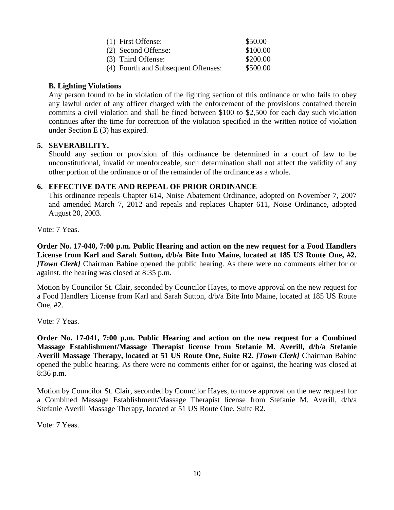| (1) First Offense:                  | \$50.00  |
|-------------------------------------|----------|
| (2) Second Offense:                 | \$100.00 |
| (3) Third Offense:                  | \$200.00 |
| (4) Fourth and Subsequent Offenses: | \$500.00 |

## **B. Lighting Violations**

Any person found to be in violation of the lighting section of this ordinance or who fails to obey any lawful order of any officer charged with the enforcement of the provisions contained therein commits a civil violation and shall be fined between \$100 to \$2,500 for each day such violation continues after the time for correction of the violation specified in the written notice of violation under Section E (3) has expired.

## **5. SEVERABILITY.**

Should any section or provision of this ordinance be determined in a court of law to be unconstitutional, invalid or unenforceable, such determination shall not affect the validity of any other portion of the ordinance or of the remainder of the ordinance as a whole.

## **6. EFFECTIVE DATE AND REPEAL OF PRIOR ORDINANCE**

This ordinance repeals Chapter 614, Noise Abatement Ordinance, adopted on November 7, 2007 and amended March 7, 2012 and repeals and replaces Chapter 611, Noise Ordinance, adopted August 20, 2003.

Vote: 7 Yeas.

**Order No. 17-040, 7:00 p.m. Public Hearing and action on the new request for a Food Handlers License from Karl and Sarah Sutton, d/b/a Bite Into Maine, located at 185 US Route One, #2.**  *[Town Clerk]* Chairman Babine opened the public hearing. As there were no comments either for or against, the hearing was closed at 8:35 p.m.

Motion by Councilor St. Clair, seconded by Councilor Hayes, to move approval on the new request for a Food Handlers License from Karl and Sarah Sutton, d/b/a Bite Into Maine, located at 185 US Route One, #2.

Vote: 7 Yeas.

**Order No. 17-041, 7:00 p.m. Public Hearing and action on the new request for a Combined Massage Establishment/Massage Therapist license from Stefanie M. Averill, d/b/a Stefanie Averill Massage Therapy, located at 51 US Route One, Suite R2.** *[Town Clerk]* Chairman Babine opened the public hearing. As there were no comments either for or against, the hearing was closed at 8:36 p.m.

Motion by Councilor St. Clair, seconded by Councilor Hayes, to move approval on the new request for a Combined Massage Establishment/Massage Therapist license from Stefanie M. Averill, d/b/a Stefanie Averill Massage Therapy, located at 51 US Route One, Suite R2.

Vote: 7 Yeas.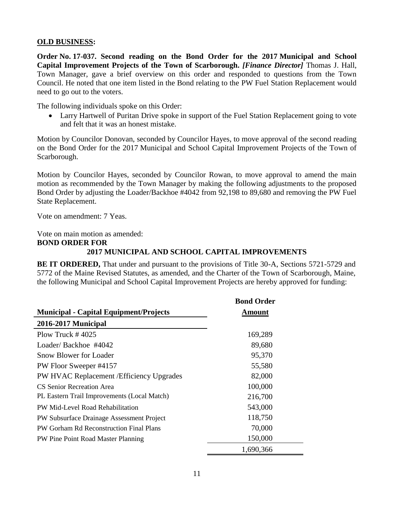#### **OLD BUSINESS:**

**Order No. 17-037. Second reading on the Bond Order for the 2017 Municipal and School Capital Improvement Projects of the Town of Scarborough.** *[Finance Director]* Thomas J. Hall, Town Manager, gave a brief overview on this order and responded to questions from the Town Council. He noted that one item listed in the Bond relating to the PW Fuel Station Replacement would need to go out to the voters.

The following individuals spoke on this Order:

• Larry Hartwell of Puritan Drive spoke in support of the Fuel Station Replacement going to vote and felt that it was an honest mistake.

Motion by Councilor Donovan, seconded by Councilor Hayes, to move approval of the second reading on the Bond Order for the 2017 Municipal and School Capital Improvement Projects of the Town of Scarborough.

Motion by Councilor Hayes, seconded by Councilor Rowan, to move approval to amend the main motion as recommended by the Town Manager by making the following adjustments to the proposed Bond Order by adjusting the Loader/Backhoe #4042 from 92,198 to 89,680 and removing the PW Fuel State Replacement.

Vote on amendment: 7 Yeas.

Vote on main motion as amended:

#### **BOND ORDER FOR**

## **2017 MUNICIPAL AND SCHOOL CAPITAL IMPROVEMENTS**

**BE IT ORDERED,** That under and pursuant to the provisions of Title 30-A, Sections 5721-5729 and 5772 of the Maine Revised Statutes, as amended, and the Charter of the Town of Scarborough, Maine, the following Municipal and School Capital Improvement Projects are hereby approved for funding:

|                                               | <b>Bond Order</b> |
|-----------------------------------------------|-------------------|
| <b>Municipal - Capital Equipment/Projects</b> | Amount            |
| 2016-2017 Municipal                           |                   |
| Plow Truck $\#$ 4025                          | 169,289           |
| Loader/Backhoe #4042                          | 89,680            |
| <b>Snow Blower for Loader</b>                 | 95,370            |
| PW Floor Sweeper #4157                        | 55,580            |
| PW HVAC Replacement / Efficiency Upgrades     | 82,000            |
| CS Senior Recreation Area                     | 100,000           |
| PL Eastern Trail Improvements (Local Match)   | 216,700           |
| PW Mid-Level Road Rehabilitation              | 543,000           |
| PW Subsurface Drainage Assessment Project     | 118,750           |
| PW Gorham Rd Reconstruction Final Plans       | 70,000            |
| PW Pine Point Road Master Planning            | 150,000           |
|                                               | 1,690,366         |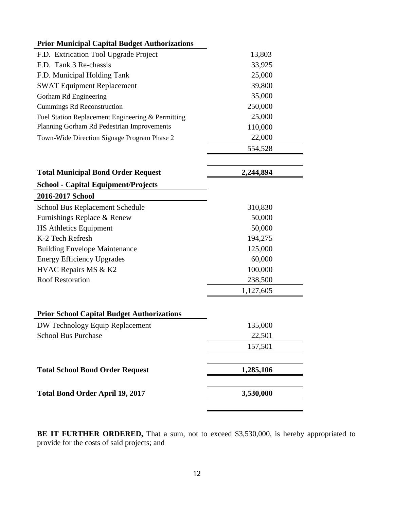| <b>Prior Municipal Capital Budget Authorizations</b> |         |  |  |  |
|------------------------------------------------------|---------|--|--|--|
| F.D. Extrication Tool Upgrade Project                | 13,803  |  |  |  |
| F.D. Tank 3 Re-chassis                               | 33,925  |  |  |  |
| F.D. Municipal Holding Tank                          | 25,000  |  |  |  |
| <b>SWAT Equipment Replacement</b>                    | 39,800  |  |  |  |
| Gorham Rd Engineering                                | 35,000  |  |  |  |
| <b>Cummings Rd Reconstruction</b>                    | 250,000 |  |  |  |
| Fuel Station Replacement Engineering & Permitting    | 25,000  |  |  |  |
| Planning Gorham Rd Pedestrian Improvements           | 110,000 |  |  |  |
| Town-Wide Direction Signage Program Phase 2          | 22,000  |  |  |  |
|                                                      | 554,528 |  |  |  |

| <b>Total Municipal Bond Order Request</b>         | 2,244,894 |
|---------------------------------------------------|-----------|
| <b>School - Capital Equipment/Projects</b>        |           |
| 2016-2017 School                                  |           |
| <b>School Bus Replacement Schedule</b>            | 310,830   |
| Furnishings Replace & Renew                       | 50,000    |
| <b>HS Athletics Equipment</b>                     | 50,000    |
| K-2 Tech Refresh                                  | 194,275   |
| <b>Building Envelope Maintenance</b>              | 125,000   |
| <b>Energy Efficiency Upgrades</b>                 | 60,000    |
| HVAC Repairs MS & K2                              | 100,000   |
| <b>Roof Restoration</b>                           | 238,500   |
|                                                   | 1,127,605 |
| <b>Prior School Capital Budget Authorizations</b> |           |
| DW Technology Equip Replacement                   | 135,000   |
| <b>School Bus Purchase</b>                        | 22,501    |
|                                                   | 157,501   |
| <b>Total School Bond Order Request</b>            | 1,285,106 |
| <b>Total Bond Order April 19, 2017</b>            | 3,530,000 |

BE IT FURTHER ORDERED, That a sum, not to exceed \$3,530,000, is hereby appropriated to provide for the costs of said projects; and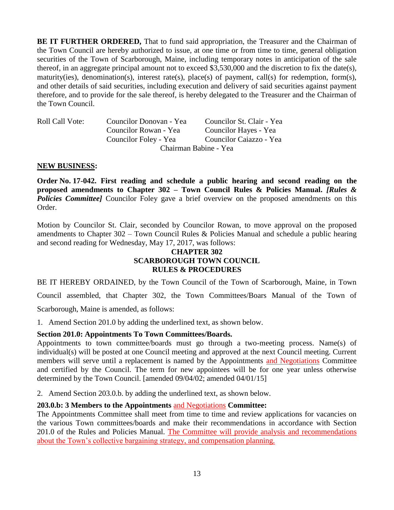**BE IT FURTHER ORDERED,** That to fund said appropriation, the Treasurer and the Chairman of the Town Council are hereby authorized to issue, at one time or from time to time, general obligation securities of the Town of Scarborough, Maine, including temporary notes in anticipation of the sale thereof, in an aggregate principal amount not to exceed \$3,530,000 and the discretion to fix the date(s), maturity(ies), denomination(s), interest rate(s), place(s) of payment, call(s) for redemption, form(s), and other details of said securities, including execution and delivery of said securities against payment therefore, and to provide for the sale thereof, is hereby delegated to the Treasurer and the Chairman of the Town Council.

| <b>Roll Call Vote:</b> | Councilor Donovan - Yea | Councilor St. Clair - Yea |  |
|------------------------|-------------------------|---------------------------|--|
|                        | Councilor Rowan - Yea   | Councilor Hayes - Yea     |  |
|                        | Councilor Foley - Yea   | Councilor Caiazzo - Yea   |  |
|                        | Chairman Babine - Yea   |                           |  |

### **NEW BUSINESS:**

**Order No. 17-042. First reading and schedule a public hearing and second reading on the proposed amendments to Chapter 302 – Town Council Rules & Policies Manual.** *[Rules &*  **Policies Committee]** Councilor Foley gave a brief overview on the proposed amendments on this Order.

Motion by Councilor St. Clair, seconded by Councilor Rowan, to move approval on the proposed amendments to Chapter 302 – Town Council Rules & Policies Manual and schedule a public hearing and second reading for Wednesday, May 17, 2017, was follows:

## **CHAPTER 302 SCARBOROUGH TOWN COUNCIL RULES & PROCEDURES**

BE IT HEREBY ORDAINED, by the Town Council of the Town of Scarborough, Maine, in Town

Council assembled, that Chapter 302, the Town Committees/Boars Manual of the Town of

Scarborough, Maine is amended, as follows:

1. Amend Section 201.0 by adding the underlined text, as shown below.

### **Section 201.0: Appointments To Town Committees/Boards.**

Appointments to town committee/boards must go through a two-meeting process. Name(s) of individual(s) will be posted at one Council meeting and approved at the next Council meeting. Current members will serve until a replacement is named by the Appointments and Negotiations Committee and certified by the Council. The term for new appointees will be for one year unless otherwise determined by the Town Council. [amended 09/04/02; amended 04/01/15]

2. Amend Section 203.0.b. by adding the underlined text, as shown below.

### **203.0.b: 3 Members to the Appointments** and Negotiations **Committee:**

The Appointments Committee shall meet from time to time and review applications for vacancies on the various Town committees/boards and make their recommendations in accordance with Section 201.0 of the Rules and Policies Manual. The Committee will provide analysis and recommendations about the Town's collective bargaining strategy, and compensation planning.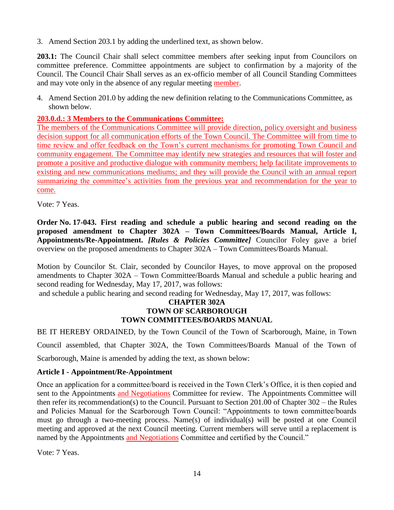3. Amend Section 203.1 by adding the underlined text, as shown below.

**203.1:** The Council Chair shall select committee members after seeking input from Councilors on committee preference. Committee appointments are subject to confirmation by a majority of the Council. The Council Chair Shall serves as an ex-officio member of all Council Standing Committees and may vote only in the absence of any regular meeting member.

4. Amend Section 201.0 by adding the new definition relating to the Communications Committee, as shown below.

## **203.0.d.: 3 Members to the Communications Committee:**

The members of the Communications Committee will provide direction, policy oversight and business decision support for all communication efforts of the Town Council. The Committee will from time to time review and offer feedback on the Town's current mechanisms for promoting Town Council and community engagement. The Committee may identify new strategies and resources that will foster and promote a positive and productive dialogue with community members; help facilitate improvements to existing and new communications mediums; and they will provide the Council with an annual report summarizing the committee's activities from the previous year and recommendation for the year to come.

Vote: 7 Yeas.

**Order No. 17-043. First reading and schedule a public hearing and second reading on the proposed amendment to Chapter 302A – Town Committees/Boards Manual, Article I, Appointments/Re-Appointment.** *[Rules & Policies Committee]* Councilor Foley gave a brief overview on the proposed amendments to Chapter 302A – Town Committees/Boards Manual.

Motion by Councilor St. Clair, seconded by Councilor Hayes, to move approval on the proposed amendments to Chapter 302A – Town Committee/Boards Manual and schedule a public hearing and second reading for Wednesday, May 17, 2017, was follows:

and schedule a public hearing and second reading for Wednesday, May 17, 2017, was follows:

## **CHAPTER 302A TOWN OF SCARBOROUGH TOWN COMMITTEES/BOARDS MANUAL**

BE IT HEREBY ORDAINED, by the Town Council of the Town of Scarborough, Maine, in Town Council assembled, that Chapter 302A, the Town Committees/Boards Manual of the Town of

Scarborough, Maine is amended by adding the text, as shown below:

# **Article I - Appointment/Re-Appointment**

Once an application for a committee/board is received in the Town Clerk's Office, it is then copied and sent to the Appointments and Negotiations Committee for review. The Appointments Committee will then refer its recommendation(s) to the Council. Pursuant to Section 201.00 of Chapter 302 – the Rules and Policies Manual for the Scarborough Town Council: "Appointments to town committee/boards must go through a two-meeting process. Name(s) of individual(s) will be posted at one Council meeting and approved at the next Council meeting. Current members will serve until a replacement is named by the Appointments and Negotiations Committee and certified by the Council."

Vote: 7 Yeas.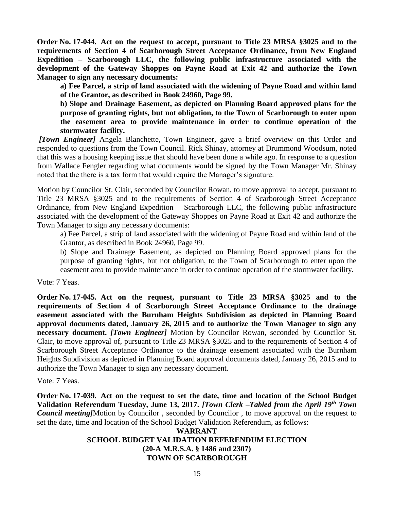**Order No. 17-044. Act on the request to accept, pursuant to Title 23 MRSA §3025 and to the requirements of Section 4 of Scarborough Street Acceptance Ordinance, from New England Expedition – Scarborough LLC, the following public infrastructure associated with the development of the Gateway Shoppes on Payne Road at Exit 42 and authorize the Town Manager to sign any necessary documents:** 

**a) Fee Parcel, a strip of land associated with the widening of Payne Road and within land of the Grantor, as described in Book 24960, Page 99.** 

**b) Slope and Drainage Easement, as depicted on Planning Board approved plans for the purpose of granting rights, but not obligation, to the Town of Scarborough to enter upon the easement area to provide maintenance in order to continue operation of the stormwater facility.** 

*[Town Engineer]* Angela Blanchette, Town Engineer, gave a brief overview on this Order and responded to questions from the Town Council. Rick Shinay, attorney at Drummond Woodsum, noted that this was a housing keeping issue that should have been done a while ago. In response to a question from Wallace Fengler regarding what documents would be signed by the Town Manager Mr. Shinay noted that the there is a tax form that would require the Manager's signature.

Motion by Councilor St. Clair, seconded by Councilor Rowan, to move approval to accept, pursuant to Title 23 MRSA §3025 and to the requirements of Section 4 of Scarborough Street Acceptance Ordinance, from New England Expedition – Scarborough LLC, the following public infrastructure associated with the development of the Gateway Shoppes on Payne Road at Exit 42 and authorize the Town Manager to sign any necessary documents:

a) Fee Parcel, a strip of land associated with the widening of Payne Road and within land of the Grantor, as described in Book 24960, Page 99.

b) Slope and Drainage Easement, as depicted on Planning Board approved plans for the purpose of granting rights, but not obligation, to the Town of Scarborough to enter upon the easement area to provide maintenance in order to continue operation of the stormwater facility.

Vote: 7 Yeas.

**Order No. 17-045. Act on the request, pursuant to Title 23 MRSA §3025 and to the requirements of Section 4 of Scarborough Street Acceptance Ordinance to the drainage easement associated with the Burnham Heights Subdivision as depicted in Planning Board approval documents dated, January 26, 2015 and to authorize the Town Manager to sign any necessary document.** *[Town Engineer]* Motion by Councilor Rowan, seconded by Councilor St. Clair, to move approval of, pursuant to Title 23 MRSA §3025 and to the requirements of Section 4 of Scarborough Street Acceptance Ordinance to the drainage easement associated with the Burnham Heights Subdivision as depicted in Planning Board approval documents dated, January 26, 2015 and to authorize the Town Manager to sign any necessary document.

Vote: 7 Yeas.

**Order No. 17-039. Act on the request to set the date, time and location of the School Budget Validation Referendum Tuesday, June 13, 2017.** *[Town Clerk –Tabled from the April 19th Town Council meeting]*Motion by Councilor , seconded by Councilor , to move approval on the request to set the date, time and location of the School Budget Validation Referendum, as follows:

## **WARRANT SCHOOL BUDGET VALIDATION REFERENDUM ELECTION (20-A M.R.S.A. § 1486 and 2307) TOWN OF SCARBOROUGH**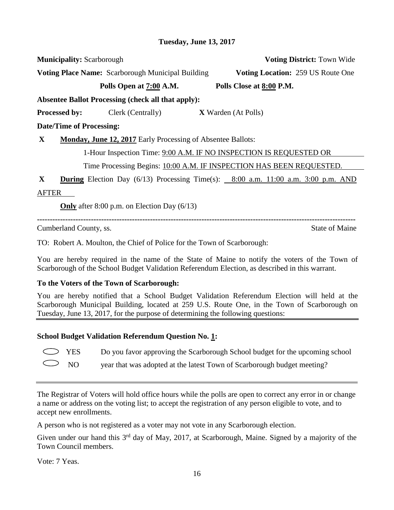**Voting Place Name:** Scarborough Municipal Building **Voting Location:** 259 US Route One

**Municipality:** Scarborough **Voting District:** Town Wide

**Polls Open at 7:00 A.M. Polls Close at 8:00 P.M.**

**Absentee Ballot Processing (check all that apply):**

**Processed by:** Clerk (Centrally) **X** Warden (At Polls)

**Date/Time of Processing:**

**X Monday, June 12, 2017** Early Processing of Absentee Ballots:

1-Hour Inspection Time: 9:00 A.M. IF NO INSPECTION IS REQUESTED OR

Time Processing Begins: 10:00 A.M. IF INSPECTION HAS BEEN REQUESTED.

**X During** Election Day (6/13) Processing Time(s): 8:00 a.m. 11:00 a.m. 3:00 p.m. AND AFTER

**Only** after 8:00 p.m. on Election Day (6/13)

**----------------------------------------------------------------------------------------------------------------------------**

Cumberland County, ss. State of Maine

TO: Robert A. Moulton, the Chief of Police for the Town of Scarborough:

You are hereby required in the name of the State of Maine to notify the voters of the Town of Scarborough of the School Budget Validation Referendum Election, as described in this warrant.

# **To the Voters of the Town of Scarborough:**

You are hereby notified that a School Budget Validation Referendum Election will held at the Scarborough Municipal Building, located at 259 U.S. Route One, in the Town of Scarborough on Tuesday, June 13, 2017, for the purpose of determining the following questions:

# **School Budget Validation Referendum Question No. 1:**

YES Do you favor approving the Scarborough School budget for the upcoming school

NO year that was adopted at the latest Town of Scarborough budget meeting?

The Registrar of Voters will hold office hours while the polls are open to correct any error in or change a name or address on the voting list; to accept the registration of any person eligible to vote, and to accept new enrollments.

A person who is not registered as a voter may not vote in any Scarborough election.

Given under our hand this 3<sup>rd</sup> day of May, 2017, at Scarborough, Maine. Signed by a majority of the Town Council members.

Vote: 7 Yeas.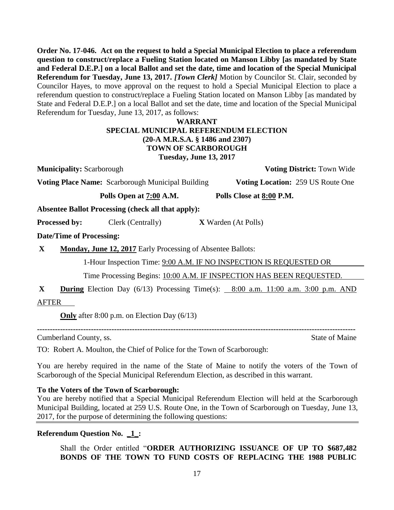**Order No. 17-046. Act on the request to hold a Special Municipal Election to place a referendum question to construct/replace a Fueling Station located on Manson Libby [as mandated by State and Federal D.E.P.] on a local Ballot and set the date, time and location of the Special Municipal Referendum for Tuesday, June 13, 2017.** *[Town Clerk]* Motion by Councilor St. Clair, seconded by Councilor Hayes, to move approval on the request to hold a Special Municipal Election to place a referendum question to construct/replace a Fueling Station located on Manson Libby [as mandated by State and Federal D.E.P.] on a local Ballot and set the date, time and location of the Special Municipal Referendum for Tuesday, June 13, 2017, as follows:

## **WARRANT SPECIAL MUNICIPAL REFERENDUM ELECTION (20-A M.R.S.A. § 1486 and 2307) TOWN OF SCARBOROUGH Tuesday, June 13, 2017**

**Municipality:** Scarborough **Voting District:** Town Wide

**Voting Place Name:** Scarborough Municipal Building **Voting Location:** 259 US Route One

**Polls Open at 7:00 A.M. Polls Close at 8:00 P.M.**

**Absentee Ballot Processing (check all that apply):**

**Processed by:** Clerk (Centrally) **X** Warden (At Polls)

**Date/Time of Processing:**

**X Monday, June 12, 2017** Early Processing of Absentee Ballots:

1-Hour Inspection Time: 9:00 A.M. IF NO INSPECTION IS REQUESTED OR

Time Processing Begins: 10:00 A.M. IF INSPECTION HAS BEEN REQUESTED.

**X During** Election Day (6/13) Processing Time(s): 8:00 a.m. 11:00 a.m. 3:00 p.m. AND AFTER

**Only** after 8:00 p.m. on Election Day (6/13)

Cumberland County, ss. State of Maine

**----------------------------------------------------------------------------------------------------------------------------**

TO: Robert A. Moulton, the Chief of Police for the Town of Scarborough:

You are hereby required in the name of the State of Maine to notify the voters of the Town of Scarborough of the Special Municipal Referendum Election, as described in this warrant.

# **To the Voters of the Town of Scarborough:**

You are hereby notified that a Special Municipal Referendum Election will held at the Scarborough Municipal Building, located at 259 U.S. Route One, in the Town of Scarborough on Tuesday, June 13, 2017, for the purpose of determining the following questions:

# **Referendum Question No. \_1\_:**

Shall the Order entitled "**ORDER AUTHORIZING ISSUANCE OF UP TO \$687,482 BONDS OF THE TOWN TO FUND COSTS OF REPLACING THE 1988 PUBLIC**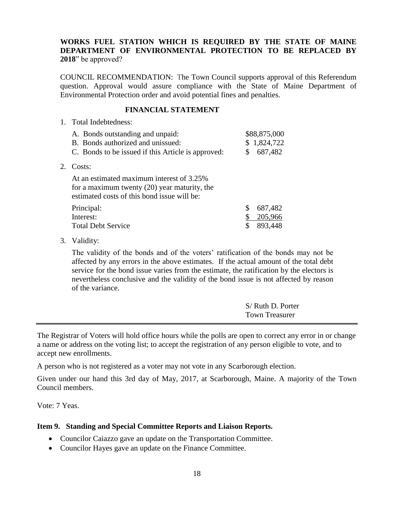### **WORKS FUEL STATION WHICH IS REQUIRED BY THE STATE OF MAINE DEPARTMENT OF ENVIRONMENTAL PROTECTION TO BE REPLACED BY 2018**" be approved?

COUNCIL RECOMMENDATION: The Town Council supports approval of this Referendum question. Approval would assure compliance with the State of Maine Department of Environmental Protection order and avoid potential fines and penalties.

#### **FINANCIAL STATEMENT**

1. Total Indebtedness:

| A. Bonds outstanding and unpaid:<br>B. Bonds authorized and unissued:<br>C. Bonds to be issued if this Article is approved:                |    | \$88,875,000<br>\$1,824,722<br>687,482 |  |
|--------------------------------------------------------------------------------------------------------------------------------------------|----|----------------------------------------|--|
| Costs:                                                                                                                                     |    |                                        |  |
| At an estimated maximum interest of 3.25%<br>for a maximum twenty $(20)$ year maturity, the<br>estimated costs of this bond issue will be: |    |                                        |  |
| Principal:                                                                                                                                 | \$ | 687,482                                |  |
| Interest:                                                                                                                                  |    | 205,966                                |  |
| <b>Total Debt Service</b>                                                                                                                  |    | 893,448                                |  |

3. Validity:

 $2.$ 

The validity of the bonds and of the voters' ratification of the bonds may not be affected by any errors in the above estimates. If the actual amount of the total debt service for the bond issue varies from the estimate, the ratification by the electors is nevertheless conclusive and the validity of the bond issue is not affected by reason of the variance.

| S/ Ruth D. Porter     |
|-----------------------|
| <b>Town Treasurer</b> |

The Registrar of Voters will hold office hours while the polls are open to correct any error in or change a name or address on the voting list; to accept the registration of any person eligible to vote, and to accept new enrollments.

A person who is not registered as a voter may not vote in any Scarborough election.

Given under our hand this 3rd day of May, 2017, at Scarborough, Maine. A majority of the Town Council members.

Vote: 7 Yeas.

### **Item 9. Standing and Special Committee Reports and Liaison Reports.**

- Councilor Caiazzo gave an update on the Transportation Committee.
- Councilor Hayes gave an update on the Finance Committee.